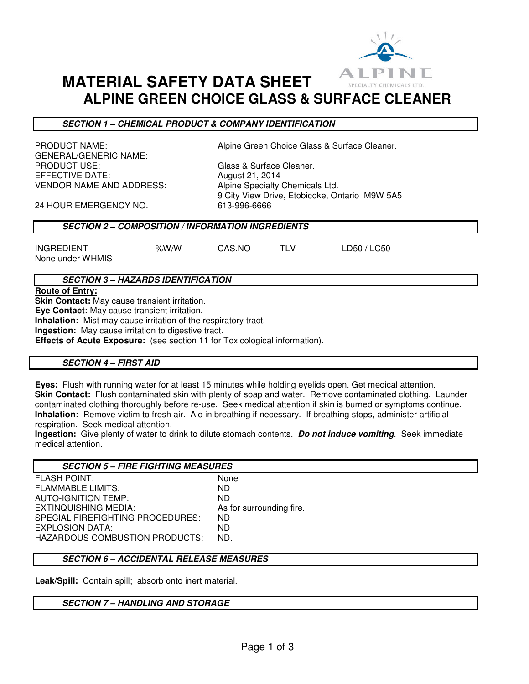

# **MATERIAL SAFETY DATA SHEET ALPINE GREEN CHOICE GLASS & SURFACE CLEANER**

# **SECTION 1 – CHEMICAL PRODUCT & COMPANY IDENTIFICATION**

GENERAL/GENERIC NAME:<br>PRODUCT USE: EFFECTIVE DATE:  $\begin{array}{ccc} \text{August 21, 2014} \\ \text{VENDOR NAME AND ADDRESS:} \end{array}$  Algine Specialty

PRODUCT NAME: **Alpine Green Choice Glass & Surface Cleaner.** 

Glass & Surface Cleaner. Alpine Specialty Chemicals Ltd. 9 City View Drive, Etobicoke, Ontario M9W 5A5

24 HOUR EMERGENCY NO. 613-996-6666

# **SECTION 2 – COMPOSITION / INFORMATION INGREDIENTS**

| <b>INGREDIENT</b> | % $W/N$ |
|-------------------|---------|

CAS.NO TLV LD50 / LC50

None under WHMIS

# **SECTION 3 – HAZARDS IDENTIFICATION**

**Route of Entry:** 

**Skin Contact:** May cause transient irritation.

**Eye Contact:** May cause transient irritation.

**Inhalation:** Mist may cause irritation of the respiratory tract.

**Ingestion:** May cause irritation to digestive tract.

**Effects of Acute Exposure:** (see section 11 for Toxicological information).

# **SECTION 4 – FIRST AID**

**Eyes:** Flush with running water for at least 15 minutes while holding eyelids open. Get medical attention. **Skin Contact:** Flush contaminated skin with plenty of soap and water. Remove contaminated clothing. Launder contaminated clothing thoroughly before re-use. Seek medical attention if skin is burned or symptoms continue. **Inhalation:** Remove victim to fresh air. Aid in breathing if necessary. If breathing stops, administer artificial respiration. Seek medical attention.

**Ingestion:** Give plenty of water to drink to dilute stomach contents. **Do not induce vomiting**. Seek immediate medical attention.

| <b>SECTION 5 - FIRE FIGHTING MEASURES</b> |                          |
|-------------------------------------------|--------------------------|
| <b>FLASH POINT:</b>                       | None                     |
| <b>FLAMMABLE LIMITS:</b>                  | ND.                      |
| <b>AUTO-IGNITION TEMP:</b>                | ND.                      |
| EXTINQUISHING MEDIA:                      | As for surrounding fire. |
| SPECIAL FIREFIGHTING PROCEDURES:          | ND.                      |
| EXPLOSION DATA:                           | ND.                      |
| HAZARDOUS COMBUSTION PRODUCTS:            | ND.                      |
|                                           |                          |

# **SECTION 6 – ACCIDENTAL RELEASE MEASURES**

**Leak/Spill:** Contain spill; absorb onto inert material.

# **SECTION 7 – HANDLING AND STORAGE**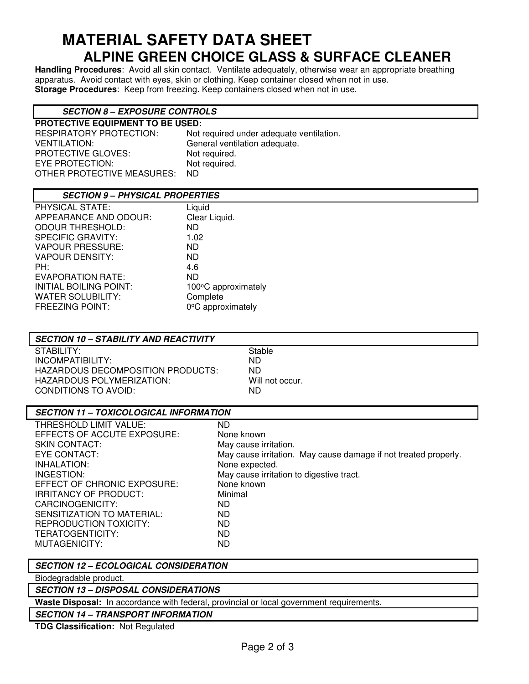# **MATERIAL SAFETY DATA SHEET ALPINE GREEN CHOICE GLASS & SURFACE CLEANER**

**Handling Procedures**: Avoid all skin contact. Ventilate adequately, otherwise wear an appropriate breathing apparatus. Avoid contact with eyes, skin or clothing. Keep container closed when not in use. **Storage Procedures**: Keep from freezing. Keep containers closed when not in use.

# **SECTION 8 – EXPOSURE CONTROLS**

**PROTECTIVE EQUIPMENT TO BE USED:**  VENTILATION: General ventilation adequate. PROTECTIVE GLOVES: Not required. EYE PROTECTION: Not required. OTHER PROTECTIVE MEASURES: ND

Not required under adequate ventilation.

# **SECTION 9 – PHYSICAL PROPERTIES**

| PHYSICAL STATE:          | Liquid              |
|--------------------------|---------------------|
| APPEARANCE AND ODOUR:    | Clear Liquid.       |
| <b>ODOUR THRESHOLD:</b>  | <b>ND</b>           |
| <b>SPECIFIC GRAVITY:</b> | 1.02                |
| <b>VAPOUR PRESSURE:</b>  | ND.                 |
| <b>VAPOUR DENSITY:</b>   | ND.                 |
| PH:                      | 4.6                 |
| <b>EVAPORATION RATE:</b> | <b>ND</b>           |
| INITIAL BOILING POINT:   | 100°C approximately |
| <b>WATER SOLUBILITY:</b> | Complete            |
| <b>FREEZING POINT:</b>   | 0°C approximately   |
|                          |                     |

| <b>SECTION 10 – STABILITY AND REACTIVITY</b> |                 |  |
|----------------------------------------------|-----------------|--|
| STABILITY:                                   | Stable          |  |
| INCOMPATIBILITY:                             | ND.             |  |
| HAZARDOUS DECOMPOSITION PRODUCTS:            | ND              |  |
| HAZARDOUS POLYMERIZATION:                    | Will not occur. |  |
| CONDITIONS TO AVOID:                         | ND              |  |
|                                              |                 |  |

# **SECTION 11 – TOXICOLOGICAL INFORMATION**

| THRESHOLD LIMIT VALUE:       | ND.                                                             |
|------------------------------|-----------------------------------------------------------------|
| EFFECTS OF ACCUTE EXPOSURE:  | None known                                                      |
| <b>SKIN CONTACT:</b>         | May cause irritation.                                           |
| EYE CONTACT:                 | May cause irritation. May cause damage if not treated properly. |
| INHALATION:                  | None expected.                                                  |
| INGESTION:                   | May cause irritation to digestive tract.                        |
| EFFECT OF CHRONIC EXPOSURE:  | None known                                                      |
| <b>IRRITANCY OF PRODUCT:</b> | Minimal                                                         |
| CARCINOGENICITY:             | ND                                                              |
| SENSITIZATION TO MATERIAL:   | ND.                                                             |
| REPRODUCTION TOXICITY:       | ND.                                                             |
| TERATOGENTICITY:             | ND                                                              |
| MUTAGENICITY:                | ND                                                              |
|                              |                                                                 |

# **SECTION 12 – ECOLOGICAL CONSIDERATION**

Biodegradable product.

**SECTION 13 – DISPOSAL CONSIDERATIONS**

**Waste Disposal:** In accordance with federal, provincial or local government requirements.

**SECTION 14 – TRANSPORT INFORMATION**

**TDG Classification:** Not Regulated